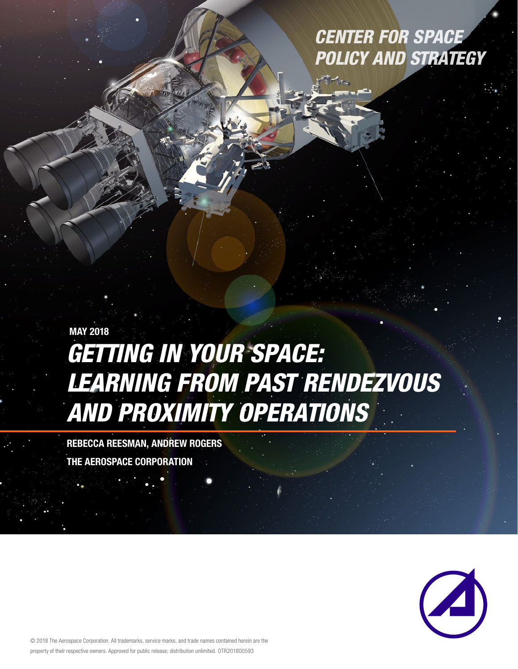# *CENTER FOR SPACE POLICY AND STRATEGY*

# *Getting in Your Space: Learning from Past Rendezvous and Proximity Operations* MAY 2018

REBECCA REESMAN, Andrew Rogers THE AEROSPACE CORPORATION



© 2018 The Aerospace Corporation. All trademarks, service marks, and trade names contained herein are the property of their respective owners. Approved for public release; distribution unlimited. OTR201800593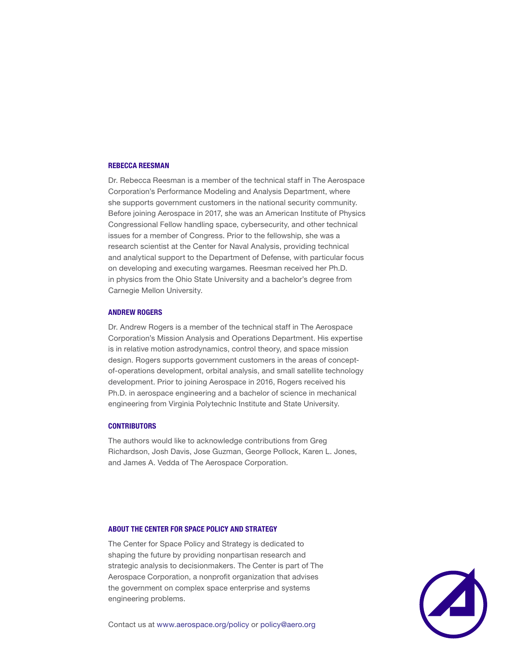#### REBECCA REESMAN

Dr. Rebecca Reesman is a member of the technical staff in The Aerospace Corporation's Performance Modeling and Analysis Department, where she supports government customers in the national security community. Before joining Aerospace in 2017, she was an American Institute of Physics Congressional Fellow handling space, cybersecurity, and other technical issues for a member of Congress. Prior to the fellowship, she was a research scientist at the Center for Naval Analysis, providing technical and analytical support to the Department of Defense, with particular focus on developing and executing wargames. Reesman received her Ph.D. in physics from the Ohio State University and a bachelor's degree from Carnegie Mellon University.

#### ANDREW ROGERS

Dr. Andrew Rogers is a member of the technical staff in The Aerospace Corporation's Mission Analysis and Operations Department. His expertise is in relative motion astrodynamics, control theory, and space mission design. Rogers supports government customers in the areas of conceptof-operations development, orbital analysis, and small satellite technology development. Prior to joining Aerospace in 2016, Rogers received his Ph.D. in aerospace engineering and a bachelor of science in mechanical engineering from Virginia Polytechnic Institute and State University.

#### **CONTRIBUTORS**

The authors would like to acknowledge contributions from Greg Richardson, Josh Davis, Jose Guzman, George Pollock, Karen L. Jones, and James A. Vedda of The Aerospace Corporation.

#### ABOUT THE CENTER FOR SPACE POLICY AND STRATEGY

The Center for Space Policy and Strategy is dedicated to shaping the future by providing nonpartisan research and strategic analysis to decisionmakers. The Center is part of The Aerospace Corporation, a nonprofit organization that advises the government on complex space enterprise and systems engineering problems.



Contact us at www.aerospace.org/policy or policy@aero.org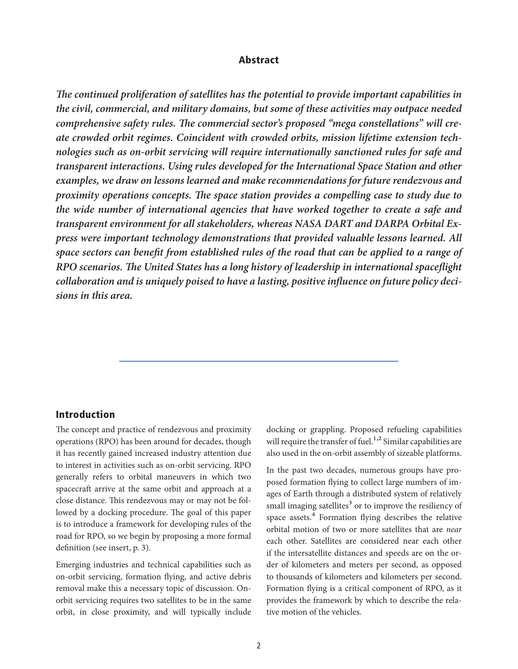### Abstract

*The continued proliferation of satellites has the potential to provide important capabilities in the civil, commercial, and military domains, but some of these activities may outpace needed comprehensive safety rules. The commercial sector's proposed "mega constellations" will create crowded orbit regimes. Coincident with crowded orbits, mission lifetime extension technologies such as on-orbit servicing will require internationally sanctioned rules for safe and transparent interactions. Using rules developed for the International Space Station and other examples, we draw on lessons learned and make recommendations for future rendezvous and proximity operations concepts. The space station provides a compelling case to study due to the wide number of international agencies that have worked together to create a safe and transparent environment for all stakeholders, whereas NASA DART and DARPA Orbital Express were important technology demonstrations that provided valuable lessons learned. All space sectors can benefit from established rules of the road that can be applied to a range of RPO scenarios. The United States has a long history of leadership in international spaceflight collaboration and is uniquely poised to have a lasting, positive influence on future policy decisions in this area.*

## Introduction

The concept and practice of rendezvous and proximity operations (RPO) has been around for decades, though it has recently gained increased industry attention due to interest in activities such as on-orbit servicing. RPO generally refers to orbital maneuvers in which two spacecraft arrive at the same orbit and approach at a close distance. This rendezvous may or may not be followed by a docking procedure. The goal of this paper is to introduce a framework for developing rules of the road for RPO, so we begin by proposing a more formal definition (see insert, p. 3).

Emerging industries and technical capabilities such as on-orbit servicing, formation flying, and active debris removal make this a necessary topic of discussion. Onorbit servicing requires two satellites to be in the same orbit, in close proximity, and will typically include

docking or grappling. Proposed refueling capabilities will require the transfer of fuel.<sup>1,2</sup> Similar capabilities are also used in the on-orbit assembly of sizeable platforms.

In the past two decades, numerous groups have proposed formation flying to collect large numbers of images of Earth through a distributed system of relatively small imaging satellites<sup>3</sup> or to improve the resiliency of space assets.<sup>4</sup> Formation flying describes the relative orbital motion of two or more satellites that are *near* each other. Satellites are considered near each other if the intersatellite distances and speeds are on the order of kilometers and meters per second, as opposed to thousands of kilometers and kilometers per second. Formation flying is a critical component of RPO, as it provides the framework by which to describe the relative motion of the vehicles.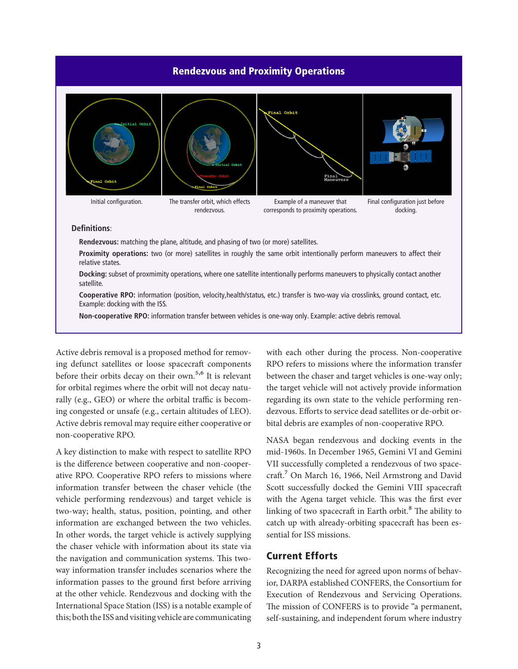#### Rendezvous and Proximity Operations



Example: docking with the ISS. **Non-cooperative RPO:** information transfer between vehicles is one-way only. Example: active debris removal.

**Cooperative RPO:** information (position, velocity,health/status, etc.) transfer is two-way via crosslinks, ground contact, etc.

Active debris removal is a proposed method for removing defunct satellites or loose spacecraft components before their orbits decay on their own.<sup>5,6</sup> It is relevant for orbital regimes where the orbit will not decay naturally (e.g., GEO) or where the orbital traffic is becoming congested or unsafe (e.g., certain altitudes of LEO). Active debris removal may require either cooperative or non-cooperative RPO.

A key distinction to make with respect to satellite RPO is the difference between cooperative and non-cooperative RPO. Cooperative RPO refers to missions where information transfer between the chaser vehicle (the vehicle performing rendezvous) and target vehicle is two-way; health, status, position, pointing, and other information are exchanged between the two vehicles. In other words, the target vehicle is actively supplying the chaser vehicle with information about its state via the navigation and communication systems. This twoway information transfer includes scenarios where the information passes to the ground first before arriving at the other vehicle. Rendezvous and docking with the International Space Station (ISS) is a notable example of this; both the ISS and visiting vehicle are communicating

with each other during the process. Non-cooperative RPO refers to missions where the information transfer between the chaser and target vehicles is one-way only; the target vehicle will not actively provide information regarding its own state to the vehicle performing rendezvous. Efforts to service dead satellites or de-orbit orbital debris are examples of non-cooperative RPO.

NASA began rendezvous and docking events in the mid-1960s. In December 1965, Gemini VI and Gemini VII successfully completed a rendezvous of two spacecraft.7 On March 16, 1966, Neil Armstrong and David Scott successfully docked the Gemini VIII spacecraft with the Agena target vehicle. This was the first ever linking of two spacecraft in Earth orbit.<sup>8</sup> The ability to catch up with already-orbiting spacecraft has been essential for ISS missions.

## Current Efforts

Recognizing the need for agreed upon norms of behavior, DARPA established CONFERS, the Consortium for Execution of Rendezvous and Servicing Operations. The mission of CONFERS is to provide "a permanent, self-sustaining, and independent forum where industry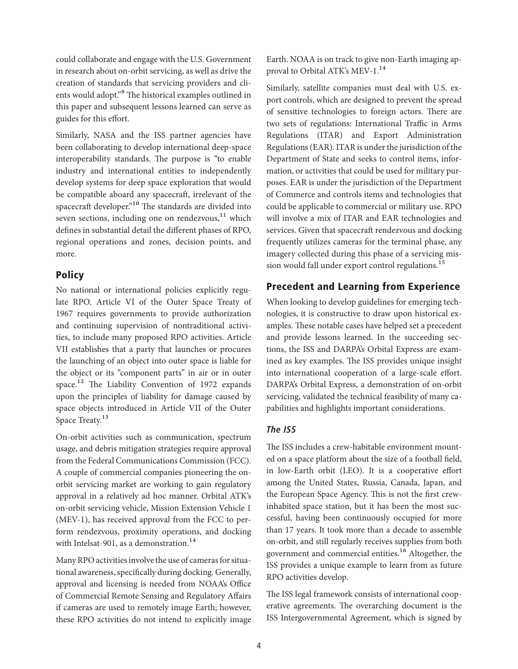could collaborate and engage with the U.S. Government in research about on-orbit servicing, as well as drive the creation of standards that servicing providers and clients would adopt."<sup>9</sup> The historical examples outlined in this paper and subsequent lessons learned can serve as guides for this effort.

Similarly, NASA and the ISS partner agencies have been collaborating to develop international deep-space interoperability standards. The purpose is "to enable industry and international entities to independently develop systems for deep space exploration that would be compatible aboard any spacecraft, irrelevant of the spacecraft developer."<sup>10</sup> The standards are divided into seven sections, including one on rendezvous, $11$  which defines in substantial detail the different phases of RPO, regional operations and zones, decision points, and more.

## **Policy**

No national or international policies explicitly regulate RPO. Article VI of the Outer Space Treaty of 1967 requires governments to provide authorization and continuing supervision of nontraditional activities, to include many proposed RPO activities. Article VII establishes that a party that launches or procures the launching of an object into outer space is liable for the object or its "component parts" in air or in outer space.<sup>12</sup> The Liability Convention of 1972 expands upon the principles of liability for damage caused by space objects introduced in Article VII of the Outer Space Treaty.<sup>13</sup>

On-orbit activities such as communication, spectrum usage, and debris mitigation strategies require approval from the Federal Communications Commission (FCC). A couple of commercial companies pioneering the onorbit servicing market are working to gain regulatory approval in a relatively ad hoc manner. Orbital ATK's on-orbit servicing vehicle, Mission Extension Vehicle 1 (MEV-1), has received approval from the FCC to perform rendezvous, proximity operations, and docking with Intelsat-901, as a demonstration.<sup>14</sup>

Many RPO activities involve the use of cameras for situational awareness, specifically during docking. Generally, approval and licensing is needed from NOAA's Office of Commercial Remote Sensing and Regulatory Affairs if cameras are used to remotely image Earth; however, these RPO activities do not intend to explicitly image Earth. NOAA is on track to give non-Earth imaging approval to Orbital ATK's MEV-1.<sup>14</sup>

Similarly, satellite companies must deal with U.S. export controls, which are designed to prevent the spread of sensitive technologies to foreign actors. There are two sets of regulations: International Traffic in Arms Regulations (ITAR) and Export Administration Regulations (EAR). ITAR is under the jurisdiction of the Department of State and seeks to control items, information, or activities that could be used for military purposes. EAR is under the jurisdiction of the Department of Commerce and controls items and technologies that could be applicable to commercial or military use. RPO will involve a mix of ITAR and EAR technologies and services. Given that spacecraft rendezvous and docking frequently utilizes cameras for the terminal phase, any imagery collected during this phase of a servicing mission would fall under export control regulations.<sup>15</sup>

# Precedent and Learning from Experience

When looking to develop guidelines for emerging technologies, it is constructive to draw upon historical examples. These notable cases have helped set a precedent and provide lessons learned. In the succeeding sections, the ISS and DARPA's Orbital Express are examined as key examples. The ISS provides unique insight into international cooperation of a large-scale effort. DARPA's Orbital Express, a demonstration of on-orbit servicing, validated the technical feasibility of many capabilities and highlights important considerations.

## *The ISS*

The ISS includes a crew-habitable environment mounted on a space platform about the size of a football field, in low-Earth orbit (LEO). It is a cooperative effort among the United States, Russia, Canada, Japan, and the European Space Agency. This is not the first crewinhabited space station, but it has been the most successful, having been continuously occupied for more than 17 years. It took more than a decade to assemble on-orbit, and still regularly receives supplies from both government and commercial entities.<sup>16</sup> Altogether, the ISS provides a unique example to learn from as future RPO activities develop.

The ISS legal framework consists of international cooperative agreements. The overarching document is the ISS Intergovernmental Agreement, which is signed by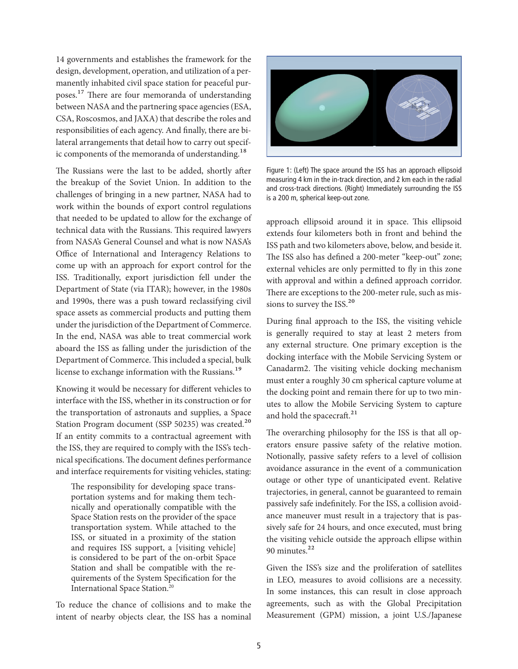14 governments and establishes the framework for the design, development, operation, and utilization of a permanently inhabited civil space station for peaceful purposes.<sup>17</sup> There are four memoranda of understanding between NASA and the partnering space agencies (ESA, CSA, Roscosmos, and JAXA) that describe the roles and responsibilities of each agency. And finally, there are bilateral arrangements that detail how to carry out specific components of the memoranda of understanding.<sup>18</sup>

The Russians were the last to be added, shortly after the breakup of the Soviet Union. In addition to the challenges of bringing in a new partner, NASA had to work within the bounds of export control regulations that needed to be updated to allow for the exchange of technical data with the Russians. This required lawyers from NASA's General Counsel and what is now NASA's Office of International and Interagency Relations to come up with an approach for export control for the ISS. Traditionally, export jurisdiction fell under the Department of State (via ITAR); however, in the 1980s and 1990s, there was a push toward reclassifying civil space assets as commercial products and putting them under the jurisdiction of the Department of Commerce. In the end, NASA was able to treat commercial work aboard the ISS as falling under the jurisdiction of the Department of Commerce. This included a special, bulk license to exchange information with the Russians.<sup>19</sup>

Knowing it would be necessary for different vehicles to interface with the ISS, whether in its construction or for the transportation of astronauts and supplies, a Space Station Program document (SSP 50235) was created.<sup>20</sup> If an entity commits to a contractual agreement with the ISS, they are required to comply with the ISS's technical specifications. The document defines performance and interface requirements for visiting vehicles, stating:

The responsibility for developing space transportation systems and for making them technically and operationally compatible with the Space Station rests on the provider of the space transportation system. While attached to the ISS, or situated in a proximity of the station and requires ISS support, a [visiting vehicle] is considered to be part of the on-orbit Space Station and shall be compatible with the requirements of the System Specification for the International Space Station.20

To reduce the chance of collisions and to make the intent of nearby objects clear, the ISS has a nominal



Figure 1: (Left) The space around the ISS has an approach ellipsoid measuring 4 km in the in-track direction, and 2 km each in the radial and cross-track directions. (Right) Immediately surrounding the ISS is a 200 m, spherical keep-out zone.

approach ellipsoid around it in space. This ellipsoid extends four kilometers both in front and behind the ISS path and two kilometers above, below, and beside it. The ISS also has defined a 200-meter "keep-out" zone; external vehicles are only permitted to fly in this zone with approval and within a defined approach corridor. There are exceptions to the 200-meter rule, such as missions to survey the ISS.<sup>20</sup>

During final approach to the ISS, the visiting vehicle is generally required to stay at least 2 meters from any external structure. One primary exception is the docking interface with the Mobile Servicing System or Canadarm2. The visiting vehicle docking mechanism must enter a roughly 30 cm spherical capture volume at the docking point and remain there for up to two minutes to allow the Mobile Servicing System to capture and hold the spacecraft.<sup>21</sup>

The overarching philosophy for the ISS is that all operators ensure passive safety of the relative motion. Notionally, passive safety refers to a level of collision avoidance assurance in the event of a communication outage or other type of unanticipated event. Relative trajectories, in general, cannot be guaranteed to remain passively safe indefinitely. For the ISS, a collision avoidance maneuver must result in a trajectory that is passively safe for 24 hours, and once executed, must bring the visiting vehicle outside the approach ellipse within 90 minutes.<sup>22</sup>

Given the ISS's size and the proliferation of satellites in LEO, measures to avoid collisions are a necessity. In some instances, this can result in close approach agreements, such as with the Global Precipitation Measurement (GPM) mission, a joint U.S./Japanese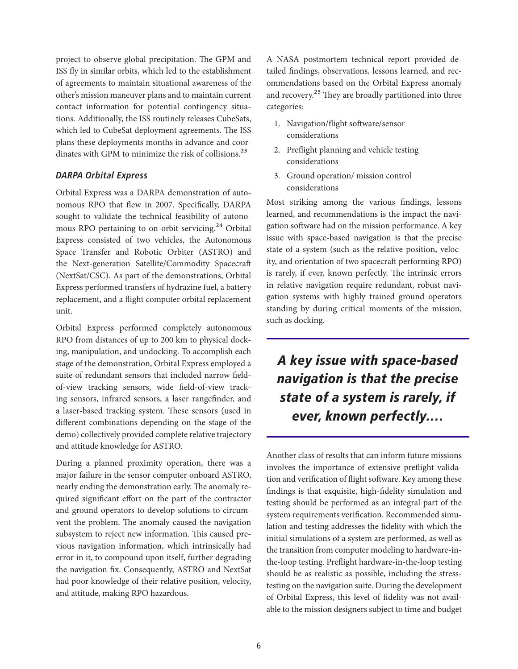project to observe global precipitation. The GPM and ISS fly in similar orbits, which led to the establishment of agreements to maintain situational awareness of the other's mission maneuver plans and to maintain current contact information for potential contingency situations. Additionally, the ISS routinely releases CubeSats, which led to CubeSat deployment agreements. The ISS plans these deployments months in advance and coordinates with GPM to minimize the risk of collisions.<sup>23</sup>

## *DARPA Orbital Express*

Orbital Express was a DARPA demonstration of autonomous RPO that flew in 2007. Specifically, DARPA sought to validate the technical feasibility of autonomous RPO pertaining to on-orbit servicing.<sup>24</sup> Orbital Express consisted of two vehicles, the Autonomous Space Transfer and Robotic Orbiter (ASTRO) and the Next-generation Satellite/Commodity Spacecraft (NextSat/CSC). As part of the demonstrations, Orbital Express performed transfers of hydrazine fuel, a battery replacement, and a flight computer orbital replacement unit.

Orbital Express performed completely autonomous RPO from distances of up to 200 km to physical docking, manipulation, and undocking. To accomplish each stage of the demonstration, Orbital Express employed a suite of redundant sensors that included narrow fieldof-view tracking sensors, wide field-of-view tracking sensors, infrared sensors, a laser rangefinder, and a laser-based tracking system. These sensors (used in different combinations depending on the stage of the demo) collectively provided complete relative trajectory and attitude knowledge for ASTRO.

During a planned proximity operation, there was a major failure in the sensor computer onboard ASTRO, nearly ending the demonstration early. The anomaly required significant effort on the part of the contractor and ground operators to develop solutions to circumvent the problem. The anomaly caused the navigation subsystem to reject new information. This caused previous navigation information, which intrinsically had error in it, to compound upon itself, further degrading the navigation fix. Consequently, ASTRO and NextSat had poor knowledge of their relative position, velocity, and attitude, making RPO hazardous.

A NASA postmortem technical report provided detailed findings, observations, lessons learned, and recommendations based on the Orbital Express anomaly and recovery.<sup>25</sup> They are broadly partitioned into three categories:

- 1. Navigation/flight software/sensor considerations
- 2. Preflight planning and vehicle testing considerations
- 3. Ground operation/ mission control considerations

Most striking among the various findings, lessons learned, and recommendations is the impact the navigation software had on the mission performance. A key issue with space-based navigation is that the precise state of a system (such as the relative position, velocity, and orientation of two spacecraft performing RPO) is rarely, if ever, known perfectly. The intrinsic errors in relative navigation require redundant, robust navigation systems with highly trained ground operators standing by during critical moments of the mission, such as docking.

*A key issue with space-based navigation is that the precise state of a system is rarely, if ever, known perfectly.…*

Another class of results that can inform future missions involves the importance of extensive preflight validation and verification of flight software. Key among these findings is that exquisite, high-fidelity simulation and testing should be performed as an integral part of the system requirements verification. Recommended simulation and testing addresses the fidelity with which the initial simulations of a system are performed, as well as the transition from computer modeling to hardware-inthe-loop testing. Preflight hardware-in-the-loop testing should be as realistic as possible, including the stresstesting on the navigation suite. During the development of Orbital Express, this level of fidelity was not available to the mission designers subject to time and budget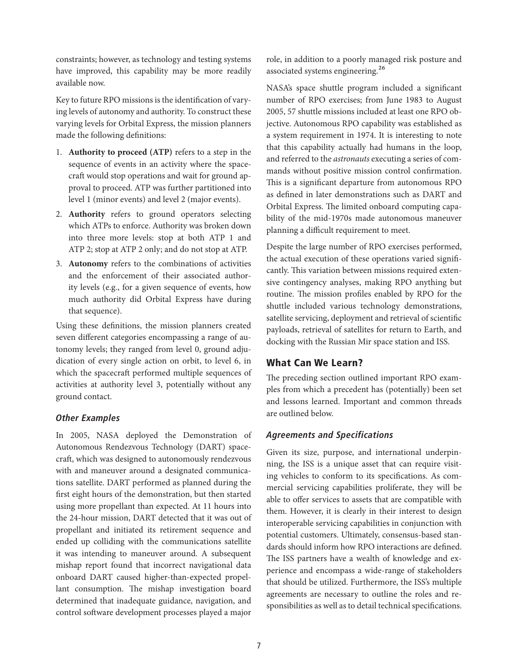constraints; however, as technology and testing systems have improved, this capability may be more readily available now.

Key to future RPO missions is the identification of varying levels of autonomy and authority. To construct these varying levels for Orbital Express, the mission planners made the following definitions:

- 1. **Authority to proceed (ATP)** refers to a step in the sequence of events in an activity where the spacecraft would stop operations and wait for ground approval to proceed. ATP was further partitioned into level 1 (minor events) and level 2 (major events).
- 2. **Authority** refers to ground operators selecting which ATPs to enforce. Authority was broken down into three more levels: stop at both ATP 1 and ATP 2; stop at ATP 2 only; and do not stop at ATP.
- 3. **Autonomy** refers to the combinations of activities and the enforcement of their associated authority levels (e.g., for a given sequence of events, how much authority did Orbital Express have during that sequence).

Using these definitions, the mission planners created seven different categories encompassing a range of autonomy levels; they ranged from level 0, ground adjudication of every single action on orbit, to level 6, in which the spacecraft performed multiple sequences of activities at authority level 3, potentially without any ground contact.

## *Other Examples*

In 2005, NASA deployed the Demonstration of Autonomous Rendezvous Technology (DART) spacecraft, which was designed to autonomously rendezvous with and maneuver around a designated communications satellite. DART performed as planned during the first eight hours of the demonstration, but then started using more propellant than expected. At 11 hours into the 24-hour mission, DART detected that it was out of propellant and initiated its retirement sequence and ended up colliding with the communications satellite it was intending to maneuver around. A subsequent mishap report found that incorrect navigational data onboard DART caused higher-than-expected propellant consumption. The mishap investigation board determined that inadequate guidance, navigation, and control software development processes played a major

role, in addition to a poorly managed risk posture and associated systems engineering.<sup>26</sup>

NASA's space shuttle program included a significant number of RPO exercises; from June 1983 to August 2005, 57 shuttle missions included at least one RPO objective. Autonomous RPO capability was established as a system requirement in 1974. It is interesting to note that this capability actually had humans in the loop, and referred to the *astronauts* executing a series of commands without positive mission control confirmation. This is a significant departure from autonomous RPO as defined in later demonstrations such as DART and Orbital Express. The limited onboard computing capability of the mid-1970s made autonomous maneuver planning a difficult requirement to meet.

Despite the large number of RPO exercises performed, the actual execution of these operations varied significantly. This variation between missions required extensive contingency analyses, making RPO anything but routine. The mission profiles enabled by RPO for the shuttle included various technology demonstrations, satellite servicing, deployment and retrieval of scientific payloads, retrieval of satellites for return to Earth, and docking with the Russian Mir space station and ISS.

# What Can We Learn?

The preceding section outlined important RPO examples from which a precedent has (potentially) been set and lessons learned. Important and common threads are outlined below.

## *Agreements and Specifications*

Given its size, purpose, and international underpinning, the ISS is a unique asset that can require visiting vehicles to conform to its specifications. As commercial servicing capabilities proliferate, they will be able to offer services to assets that are compatible with them. However, it is clearly in their interest to design interoperable servicing capabilities in conjunction with potential customers. Ultimately, consensus-based standards should inform how RPO interactions are defined. The ISS partners have a wealth of knowledge and experience and encompass a wide-range of stakeholders that should be utilized. Furthermore, the ISS's multiple agreements are necessary to outline the roles and responsibilities as well as to detail technical specifications.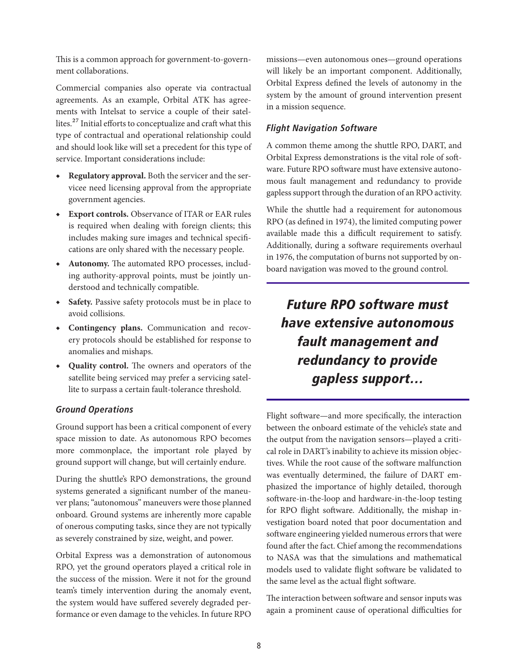This is a common approach for government-to-government collaborations.

Commercial companies also operate via contractual agreements. As an example, Orbital ATK has agreements with Intelsat to service a couple of their satellites.<sup>27</sup> Initial efforts to conceptualize and craft what this type of contractual and operational relationship could and should look like will set a precedent for this type of service. Important considerations include:

- ◆ **Regulatory approval.** Both the servicer and the servicee need licensing approval from the appropriate government agencies.
- ◆ **Export controls.** Observance of ITAR or EAR rules is required when dealing with foreign clients; this includes making sure images and technical specifications are only shared with the necessary people.
- ◆ **Autonomy.** The automated RPO processes, including authority-approval points, must be jointly understood and technically compatible.
- ◆ **Safety.** Passive safety protocols must be in place to avoid collisions.
- ◆ **Contingency plans.** Communication and recovery protocols should be established for response to anomalies and mishaps.
- ◆ **Quality control.** The owners and operators of the satellite being serviced may prefer a servicing satellite to surpass a certain fault-tolerance threshold.

#### *Ground Operations*

Ground support has been a critical component of every space mission to date. As autonomous RPO becomes more commonplace, the important role played by ground support will change, but will certainly endure.

During the shuttle's RPO demonstrations, the ground systems generated a significant number of the maneuver plans; "autonomous" maneuvers were those planned onboard. Ground systems are inherently more capable of onerous computing tasks, since they are not typically as severely constrained by size, weight, and power.

Orbital Express was a demonstration of autonomous RPO, yet the ground operators played a critical role in the success of the mission. Were it not for the ground team's timely intervention during the anomaly event, the system would have suffered severely degraded performance or even damage to the vehicles. In future RPO

missions—even autonomous ones—ground operations will likely be an important component. Additionally, Orbital Express defined the levels of autonomy in the system by the amount of ground intervention present in a mission sequence.

#### *Flight Navigation Software*

A common theme among the shuttle RPO, DART, and Orbital Express demonstrations is the vital role of software. Future RPO software must have extensive autonomous fault management and redundancy to provide gapless support through the duration of an RPO activity.

While the shuttle had a requirement for autonomous RPO (as defined in 1974), the limited computing power available made this a difficult requirement to satisfy. Additionally, during a software requirements overhaul in 1976, the computation of burns not supported by onboard navigation was moved to the ground control.

# *Future RPO software must have extensive autonomous fault management and redundancy to provide gapless support…*

Flight software—and more specifically, the interaction between the onboard estimate of the vehicle's state and the output from the navigation sensors—played a critical role in DART's inability to achieve its mission objectives. While the root cause of the software malfunction was eventually determined, the failure of DART emphasized the importance of highly detailed, thorough software-in-the-loop and hardware-in-the-loop testing for RPO flight software. Additionally, the mishap investigation board noted that poor documentation and software engineering yielded numerous errors that were found after the fact. Chief among the recommendations to NASA was that the simulations and mathematical models used to validate flight software be validated to the same level as the actual flight software.

The interaction between software and sensor inputs was again a prominent cause of operational difficulties for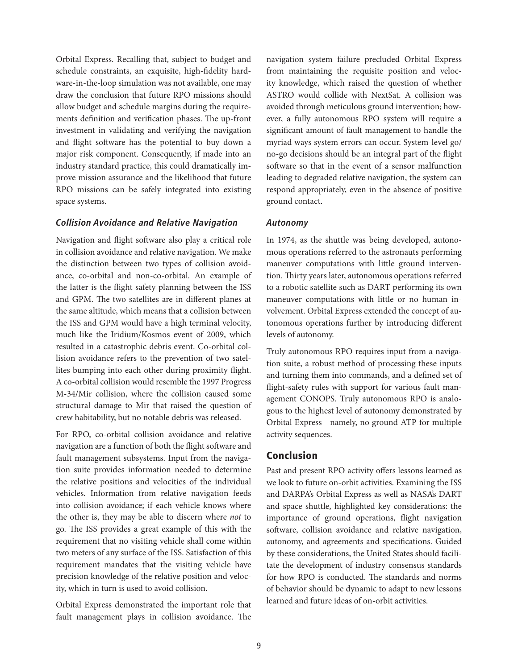Orbital Express. Recalling that, subject to budget and schedule constraints, an exquisite, high-fidelity hardware-in-the-loop simulation was not available, one may draw the conclusion that future RPO missions should allow budget and schedule margins during the requirements definition and verification phases. The up-front investment in validating and verifying the navigation and flight software has the potential to buy down a major risk component. Consequently, if made into an industry standard practice, this could dramatically improve mission assurance and the likelihood that future RPO missions can be safely integrated into existing space systems.

#### *Collision Avoidance and Relative Navigation*

Navigation and flight software also play a critical role in collision avoidance and relative navigation. We make the distinction between two types of collision avoidance, co-orbital and non-co-orbital. An example of the latter is the flight safety planning between the ISS and GPM. The two satellites are in different planes at the same altitude, which means that a collision between the ISS and GPM would have a high terminal velocity, much like the Iridium/Kosmos event of 2009, which resulted in a catastrophic debris event. Co-orbital collision avoidance refers to the prevention of two satellites bumping into each other during proximity flight. A co-orbital collision would resemble the 1997 Progress M-34/Mir collision, where the collision caused some structural damage to Mir that raised the question of crew habitability, but no notable debris was released.

For RPO, co-orbital collision avoidance and relative navigation are a function of both the flight software and fault management subsystems. Input from the navigation suite provides information needed to determine the relative positions and velocities of the individual vehicles. Information from relative navigation feeds into collision avoidance; if each vehicle knows where the other is, they may be able to discern where *not* to go. The ISS provides a great example of this with the requirement that no visiting vehicle shall come within two meters of any surface of the ISS. Satisfaction of this requirement mandates that the visiting vehicle have precision knowledge of the relative position and velocity, which in turn is used to avoid collision.

Orbital Express demonstrated the important role that fault management plays in collision avoidance. The

navigation system failure precluded Orbital Express from maintaining the requisite position and velocity knowledge, which raised the question of whether ASTRO would collide with NextSat. A collision was avoided through meticulous ground intervention; however, a fully autonomous RPO system will require a significant amount of fault management to handle the myriad ways system errors can occur. System-level go/ no-go decisions should be an integral part of the flight software so that in the event of a sensor malfunction leading to degraded relative navigation, the system can respond appropriately, even in the absence of positive ground contact.

#### *Autonomy*

In 1974, as the shuttle was being developed, autonomous operations referred to the astronauts performing maneuver computations with little ground intervention. Thirty years later, autonomous operations referred to a robotic satellite such as DART performing its own maneuver computations with little or no human involvement. Orbital Express extended the concept of autonomous operations further by introducing different levels of autonomy.

Truly autonomous RPO requires input from a navigation suite, a robust method of processing these inputs and turning them into commands, and a defined set of flight-safety rules with support for various fault management CONOPS. Truly autonomous RPO is analogous to the highest level of autonomy demonstrated by Orbital Express—namely, no ground ATP for multiple activity sequences.

#### Conclusion

Past and present RPO activity offers lessons learned as we look to future on-orbit activities. Examining the ISS and DARPA's Orbital Express as well as NASA's DART and space shuttle, highlighted key considerations: the importance of ground operations, flight navigation software, collision avoidance and relative navigation, autonomy, and agreements and specifications. Guided by these considerations, the United States should facilitate the development of industry consensus standards for how RPO is conducted. The standards and norms of behavior should be dynamic to adapt to new lessons learned and future ideas of on-orbit activities.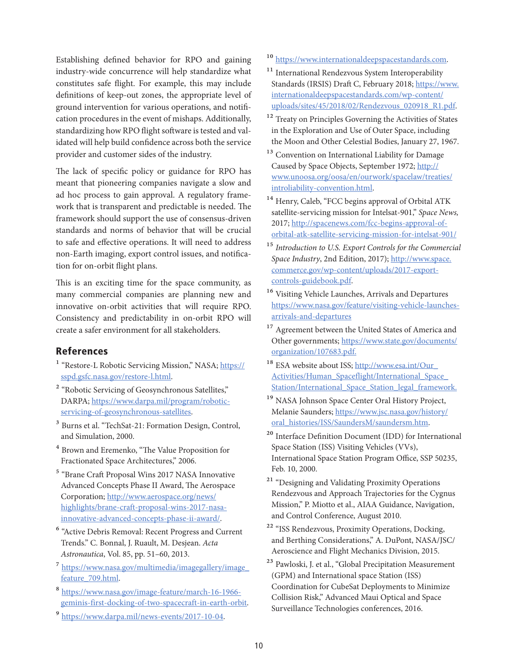Establishing defined behavior for RPO and gaining industry-wide concurrence will help standardize what constitutes safe flight. For example, this may include definitions of keep-out zones, the appropriate level of ground intervention for various operations, and notification procedures in the event of mishaps. Additionally, standardizing how RPO flight software is tested and validated will help build confidence across both the service provider and customer sides of the industry.

The lack of specific policy or guidance for RPO has meant that pioneering companies navigate a slow and ad hoc process to gain approval. A regulatory framework that is transparent and predictable is needed. The framework should support the use of consensus-driven standards and norms of behavior that will be crucial to safe and effective operations. It will need to address non-Earth imaging, export control issues, and notification for on-orbit flight plans.

This is an exciting time for the space community, as many commercial companies are planning new and innovative on-orbit activities that will require RPO. Consistency and predictability in on-orbit RPO will create a safer environment for all stakeholders.

# References

- <sup>1</sup> "Restore-L Robotic Servicing Mission," NASA; [https://](https://sspd.gsfc.nasa.gov/restore-l.html) [sspd.gsfc.nasa.gov/restore-l.html.](https://sspd.gsfc.nasa.gov/restore-l.html)
- <sup>2</sup> "Robotic Servicing of Geosynchronous Satellites," DARPA; [https://www.darpa.mil/program/robotic](https://www.darpa.mil/program/robotic- servicing- of- geosynchronous-satellites)[servicing-of-geosynchronous-satellites.](https://www.darpa.mil/program/robotic- servicing- of- geosynchronous-satellites)
- 3 Burns et al. "TechSat-21: Formation Design, Control, and Simulation, 2000.
- 4 Brown and Eremenko, "The Value Proposition for Fractionated Space Architectures," 2006.
- 5 "Brane Craft Proposal Wins 2017 NASA Innovative Advanced Concepts Phase II Award, The Aerospace Corporation; [http://www.aerospace.org/news/](http://www.aerospace.org/news/highlights/brane-craft-proposal-wins-2017-nasa-innovative-advanced-concepts-phase-ii-award/) [highlights/brane-craft-proposal-wins-2017-nasa](http://www.aerospace.org/news/highlights/brane-craft-proposal-wins-2017-nasa-innovative-advanced-concepts-phase-ii-award/)[innovative-advanced-concepts-phase-ii-award/](http://www.aerospace.org/news/highlights/brane-craft-proposal-wins-2017-nasa-innovative-advanced-concepts-phase-ii-award/).
- 6 "Active Debris Removal: Recent Progress and Current Trends." C. Bonnal, J. Ruault, M. Desjean. *Acta Astronautica*, Vol. 85, pp. 51–60, 2013.
- 7 [https://www.nasa.gov/multimedia/imagegallery/image\\_](https://www.nasa.gov/multimedia/imagegallery/image_feature_709.html) [feature\\_709.html](https://www.nasa.gov/multimedia/imagegallery/image_feature_709.html).
- 8 [https://www.nasa.gov/image-feature/march-16-1966](https://www.nasa.gov/image-feature/march-16-1966-geminis-first-docking-of-two-spacecraft-in-earth-orbit) [geminis-first-docking-of-two-spacecraft-in-earth-orbit.](https://www.nasa.gov/image-feature/march-16-1966-geminis-first-docking-of-two-spacecraft-in-earth-orbit)
- 9 [https://www.darpa.mil/news-events/2017-10-04.](https://www.darpa.mil/news-events/2017-10-04)
- <sup>10</sup> [https://www.internationaldeepspacestandards.com.](https://www.internationaldeepspacestandards.com)
- <sup>11</sup> International Rendezvous System Interoperability Standards (IRSIS) Draft C, February 2018; [https://www.](https://www.internationaldeepspacestandards.com/wp-content/uploads/sites/45/2018/02/Rendezvous_020918_R1.pdf) [internationaldeepspacestandards.com/wp-content/](https://www.internationaldeepspacestandards.com/wp-content/uploads/sites/45/2018/02/Rendezvous_020918_R1.pdf) [uploads/sites/45/2018/02/Rendezvous\\_020918\\_R1.pdf](https://www.internationaldeepspacestandards.com/wp-content/uploads/sites/45/2018/02/Rendezvous_020918_R1.pdf).
- <sup>12</sup> Treaty on Principles Governing the Activities of States in the Exploration and Use of Outer Space, including the Moon and Other Celestial Bodies, January 27, 1967.
- 13 Convention on International Liability for Damage Caused by Space Objects, September 1972; [http://](http://www.unoosa.org/oosa/en/ourwork/spacelaw/treaties/introliability-convention.html) [www.unoosa.org/oosa/en/ourwork/spacelaw/treaties/](http://www.unoosa.org/oosa/en/ourwork/spacelaw/treaties/introliability-convention.html) [introliability-convention.html](http://www.unoosa.org/oosa/en/ourwork/spacelaw/treaties/introliability-convention.html).
- 14 Henry, Caleb, "FCC begins approval of Orbital ATK satellite-servicing mission for Intelsat-901," *Space News,* 2017; [http://spacenews.com/fcc-begins-approval-of](http://spacenews.com/fcc-begins-approval-of-orbital-atk-satellite-servicing-mission-for-intelsat-901/)[orbital-atk-satellite-servicing-mission-for-intelsat-901/](http://spacenews.com/fcc-begins-approval-of-orbital-atk-satellite-servicing-mission-for-intelsat-901/)
- 15 *Introduction to U.S. Export Controls for the Commercial Space Industry*, 2nd Edition, 2017); [http://www.space.](http://www.space.commerce.gov/wp-content/uploads/2017-export-controls-guidebook.pdf) [commerce.gov/wp-content/uploads/2017-export](http://www.space.commerce.gov/wp-content/uploads/2017-export-controls-guidebook.pdf)[controls-guidebook.pdf](http://www.space.commerce.gov/wp-content/uploads/2017-export-controls-guidebook.pdf).
- 16 Visiting Vehicle Launches, Arrivals and Departures [https://www.nasa.gov/feature/visiting-vehicle-launches](https://www.nasa.gov/feature/visiting-vehicle-launches-arrivals-and-departures)[arrivals-and-departures](https://www.nasa.gov/feature/visiting-vehicle-launches-arrivals-and-departures)
- <sup>17</sup> Agreement between the United States of America and Other governments; [https://www.state.gov/documents/](https://www.state.gov/documents/organization/107683.pdf) [organization/107683.pdf](https://www.state.gov/documents/organization/107683.pdf).
- 18 ESA website about ISS; [http://www.esa.int/Our\\_](http://www.esa.int/Our_Activities/Human_Spaceflight/International_Space_Station/International_Space_Station_legal_framework) [Activities/Human\\_Spaceflight/International\\_Space\\_](http://www.esa.int/Our_Activities/Human_Spaceflight/International_Space_Station/International_Space_Station_legal_framework) [Station/International\\_Space\\_Station\\_legal\\_framework](http://www.esa.int/Our_Activities/Human_Spaceflight/International_Space_Station/International_Space_Station_legal_framework).
- 19 NASA Johnson Space Center Oral History Project, Melanie Saunders; [https://www.jsc.nasa.gov/history/](https://www.jsc.nasa.gov/history/oral_histories/ISS/SaundersM/saundersm.htm) [oral\\_histories/ISS/SaundersM/saundersm.htm](https://www.jsc.nasa.gov/history/oral_histories/ISS/SaundersM/saundersm.htm).
- 20 Interface Definition Document (IDD) for International Space Station (ISS) Visiting Vehicles (VVs), International Space Station Program Office, SSP 50235, Feb. 10, 2000.
- <sup>21</sup> "Designing and Validating Proximity Operations Rendezvous and Approach Trajectories for the Cygnus Mission," P. Miotto et al., AIAA Guidance, Navigation, and Control Conference, August 2010.
- 22 "ISS Rendezvous, Proximity Operations, Docking, and Berthing Considerations," A. DuPont, NASA/JSC/ Aeroscience and Flight Mechanics Division, 2015.
- 23 Pawloski, J. et al., "Global Precipitation Measurement (GPM) and International space Station (ISS) Coordination for CubeSat Deployments to Minimize Collision Risk," Advanced Maui Optical and Space Surveillance Technologies conferences, 2016.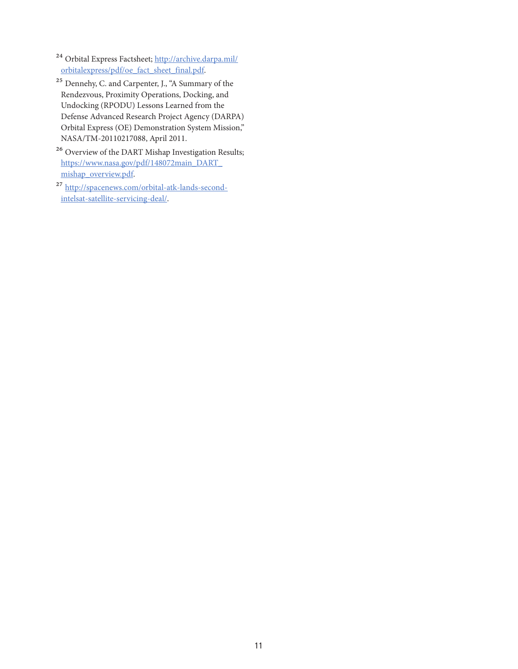24 Orbital Express Factsheet; [http://archive.darpa.mil/](http://archive.darpa.mil/orbitalexpress/pdf/oe_fact_sheet_final.pdf) [orbitalexpress/pdf/oe\\_fact\\_sheet\\_final.pdf](http://archive.darpa.mil/orbitalexpress/pdf/oe_fact_sheet_final.pdf).

- 25 Dennehy, C. and Carpenter, J., "A Summary of the Rendezvous, Proximity Operations, Docking, and Undocking (RPODU) Lessons Learned from the Defense Advanced Research Project Agency (DARPA) Orbital Express (OE) Demonstration System Mission," NASA/TM-20110217088, April 2011.
- 26 Overview of the DART Mishap Investigation Results; [https://www.nasa.gov/pdf/148072main\\_DART\\_](https://www.nasa.gov/pdf/148072main_DART_mishap_overview.pdf) [mishap\\_overview.pdf.](https://www.nasa.gov/pdf/148072main_DART_mishap_overview.pdf)
- 27 [http://spacenews.com/orbital-atk-lands-second](http://spacenews.com/orbital-atk-lands-second-intelsat-satellite-servicing-deal/)[intelsat-satellite-servicing-deal/.](http://spacenews.com/orbital-atk-lands-second-intelsat-satellite-servicing-deal/)